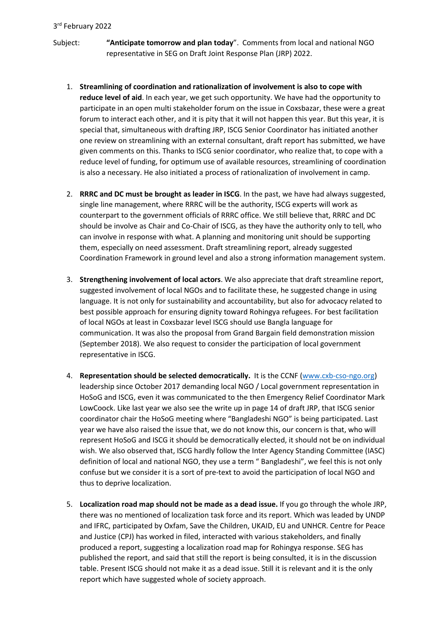Subject: **"Anticipate tomorrow and plan today**". Comments from local and national NGO representative in SEG on Draft Joint Response Plan (JRP) 2022.

- 1. **Streamlining of coordination and rationalization of involvement is also to cope with reduce level of aid**. In each year, we get such opportunity. We have had the opportunity to participate in an open multi stakeholder forum on the issue in Coxsbazar, these were a great forum to interact each other, and it is pity that it will not happen this year. But this year, it is special that, simultaneous with drafting JRP, ISCG Senior Coordinator has initiated another one review on streamlining with an external consultant, draft report has submitted, we have given comments on this. Thanks to ISCG senior coordinator, who realize that, to cope with a reduce level of funding, for optimum use of available resources, streamlining of coordination is also a necessary. He also initiated a process of rationalization of involvement in camp.
- 2. **RRRC and DC must be brought as leader in ISCG**. In the past, we have had always suggested, single line management, where RRRC will be the authority, ISCG experts will work as counterpart to the government officials of RRRC office. We still believe that, RRRC and DC should be involve as Chair and Co-Chair of ISCG, as they have the authority only to tell, who can involve in response with what. A planning and monitoring unit should be supporting them, especially on need assessment. Draft streamlining report, already suggested Coordination Framework in ground level and also a strong information management system.
- 3. **Strengthening involvement of local actors**. We also appreciate that draft streamline report, suggested involvement of local NGOs and to facilitate these, he suggested change in using language. It is not only for sustainability and accountability, but also for advocacy related to best possible approach for ensuring dignity toward Rohingya refugees. For best facilitation of local NGOs at least in Coxsbazar level ISCG should use Bangla language for communication. It was also the proposal from Grand Bargain field demonstration mission (September 2018). We also request to consider the participation of local government representative in ISCG.
- 4. **Representation should be selected democratically.** It is the CCNF [\(www.cxb-cso-ngo.org\)](http://www.cxb-cso-ngo.org/) leadership since October 2017 demanding local NGO / Local government representation in HoSoG and ISCG, even it was communicated to the then Emergency Relief Coordinator Mark LowCoock. Like last year we also see the write up in page 14 of draft JRP, that ISCG senior coordinator chair the HoSoG meeting where "Bangladeshi NGO" is being participated. Last year we have also raised the issue that, we do not know this, our concern is that, who will represent HoSoG and ISCG it should be democratically elected, it should not be on individual wish. We also observed that, ISCG hardly follow the Inter Agency Standing Committee (IASC) definition of local and national NGO, they use a term " Bangladeshi", we feel this is not only confuse but we consider it is a sort of pre-text to avoid the participation of local NGO and thus to deprive localization.
- 5. **Localization road map should not be made as a dead issue.** If you go through the whole JRP, there was no mentioned of localization task force and its report. Which was leaded by UNDP and IFRC, participated by Oxfam, Save the Children, UKAID, EU and UNHCR. Centre for Peace and Justice (CPJ) has worked in filed, interacted with various stakeholders, and finally produced a report, suggesting a localization road map for Rohingya response. SEG has published the report, and said that still the report is being consulted, it is in the discussion table. Present ISCG should not make it as a dead issue. Still it is relevant and it is the only report which have suggested whole of society approach.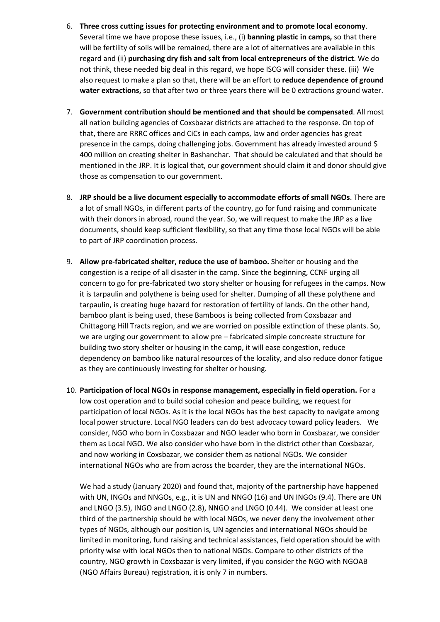- 6. **Three cross cutting issues for protecting environment and to promote local economy**. Several time we have propose these issues, i.e., (i) **banning plastic in camps,** so that there will be fertility of soils will be remained, there are a lot of alternatives are available in this regard and (ii) **purchasing dry fish and salt from local entrepreneurs of the district**. We do not think, these needed big deal in this regard, we hope ISCG will consider these. (iii) We also request to make a plan so that, there will be an effort to **reduce dependence of ground water extractions,** so that after two or three years there will be 0 extractions ground water.
- 7. **Government contribution should be mentioned and that should be compensated**. All most all nation building agencies of Coxsbazar districts are attached to the response. On top of that, there are RRRC offices and CiCs in each camps, law and order agencies has great presence in the camps, doing challenging jobs. Government has already invested around \$ 400 million on creating shelter in Bashanchar. That should be calculated and that should be mentioned in the JRP. It is logical that, our government should claim it and donor should give those as compensation to our government.
- 8. **JRP should be a live document especially to accommodate efforts of small NGOs**. There are a lot of small NGOs, in different parts of the country, go for fund raising and communicate with their donors in abroad, round the year. So, we will request to make the JRP as a live documents, should keep sufficient flexibility, so that any time those local NGOs will be able to part of JRP coordination process.
- 9. **Allow pre-fabricated shelter, reduce the use of bamboo.** Shelter or housing and the congestion is a recipe of all disaster in the camp. Since the beginning, CCNF urging all concern to go for pre-fabricated two story shelter or housing for refugees in the camps. Now it is tarpaulin and polythene is being used for shelter. Dumping of all these polythene and tarpaulin, is creating huge hazard for restoration of fertility of lands. On the other hand, bamboo plant is being used, these Bamboos is being collected from Coxsbazar and Chittagong Hill Tracts region, and we are worried on possible extinction of these plants. So, we are urging our government to allow pre – fabricated simple concreate structure for building two story shelter or housing in the camp, it will ease congestion, reduce dependency on bamboo like natural resources of the locality, and also reduce donor fatigue as they are continuously investing for shelter or housing.
- 10. **Participation of local NGOs in response management, especially in field operation.** For a low cost operation and to build social cohesion and peace building, we request for participation of local NGOs. As it is the local NGOs has the best capacity to navigate among local power structure. Local NGO leaders can do best advocacy toward policy leaders. We consider, NGO who born in Coxsbazar and NGO leader who born in Coxsbazar, we consider them as Local NGO. We also consider who have born in the district other than Coxsbazar, and now working in Coxsbazar, we consider them as national NGOs. We consider international NGOs who are from across the boarder, they are the international NGOs.

We had a study (January 2020) and found that, majority of the partnership have happened with UN, INGOs and NNGOs, e.g., it is UN and NNGO (16) and UN INGOs (9.4). There are UN and LNGO (3.5), INGO and LNGO (2.8), NNGO and LNGO (0.44). We consider at least one third of the partnership should be with local NGOs, we never deny the involvement other types of NGOs, although our position is, UN agencies and international NGOs should be limited in monitoring, fund raising and technical assistances, field operation should be with priority wise with local NGOs then to national NGOs. Compare to other districts of the country, NGO growth in Coxsbazar is very limited, if you consider the NGO with NGOAB (NGO Affairs Bureau) registration, it is only 7 in numbers.